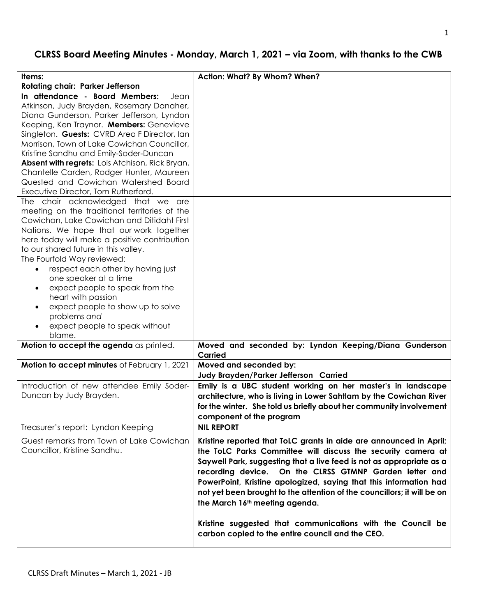# **CLRSS Board Meeting Minutes - Monday, March 1, 2021 – via Zoom, with thanks to the CWB**

| Items:<br>Rotating chair: Parker Jefferson                                                                                                                                                                                                                                                                                                                                                                                                                                                                                                                                                                                                                                                                                                                                                                                                                                           | Action: What? By Whom? When?                                                                                                                                                                                                                                                                                                                                                                                                                           |
|--------------------------------------------------------------------------------------------------------------------------------------------------------------------------------------------------------------------------------------------------------------------------------------------------------------------------------------------------------------------------------------------------------------------------------------------------------------------------------------------------------------------------------------------------------------------------------------------------------------------------------------------------------------------------------------------------------------------------------------------------------------------------------------------------------------------------------------------------------------------------------------|--------------------------------------------------------------------------------------------------------------------------------------------------------------------------------------------------------------------------------------------------------------------------------------------------------------------------------------------------------------------------------------------------------------------------------------------------------|
| In attendance - Board Members:<br>Jean<br>Atkinson, Judy Brayden, Rosemary Danaher,<br>Diana Gunderson, Parker Jefferson, Lyndon<br>Keeping, Ken Traynor. Members: Genevieve<br>Singleton. Guests: CVRD Area F Director, Ian<br>Morrison, Town of Lake Cowichan Councillor,<br>Kristine Sandhu and Emily-Soder-Duncan<br>Absent with regrets: Lois Atchison, Rick Bryan,<br>Chantelle Carden, Rodger Hunter, Maureen<br>Quested and Cowichan Watershed Board<br>Executive Director, Tom Rutherford.<br>The chair acknowledged that we are<br>meeting on the traditional territories of the<br>Cowichan, Lake Cowichan and Ditidaht First<br>Nations. We hope that our work together<br>here today will make a positive contribution<br>to our shared future in this valley.<br>The Fourfold Way reviewed:<br>respect each other by having just<br>$\bullet$<br>one speaker at a time |                                                                                                                                                                                                                                                                                                                                                                                                                                                        |
| expect people to speak from the<br>$\bullet$<br>heart with passion<br>expect people to show up to solve<br>$\bullet$<br>problems and<br>expect people to speak without<br>$\bullet$<br>blame.                                                                                                                                                                                                                                                                                                                                                                                                                                                                                                                                                                                                                                                                                        |                                                                                                                                                                                                                                                                                                                                                                                                                                                        |
| Motion to accept the agenda as printed.                                                                                                                                                                                                                                                                                                                                                                                                                                                                                                                                                                                                                                                                                                                                                                                                                                              | Moved and seconded by: Lyndon Keeping/Diana Gunderson<br>Carried                                                                                                                                                                                                                                                                                                                                                                                       |
| Motion to accept minutes of February 1, 2021                                                                                                                                                                                                                                                                                                                                                                                                                                                                                                                                                                                                                                                                                                                                                                                                                                         | Moved and seconded by:<br>Judy Brayden/Parker Jefferson Carried                                                                                                                                                                                                                                                                                                                                                                                        |
| Introduction of new attendee Emily Soder-<br>Duncan by Judy Brayden.                                                                                                                                                                                                                                                                                                                                                                                                                                                                                                                                                                                                                                                                                                                                                                                                                 | Emily is a UBC student working on her master's in landscape<br>architecture, who is living in Lower Sahtlam by the Cowichan River<br>for the winter. She told us briefly about her community involvement<br>component of the program                                                                                                                                                                                                                   |
| Treasurer's report: Lyndon Keeping                                                                                                                                                                                                                                                                                                                                                                                                                                                                                                                                                                                                                                                                                                                                                                                                                                                   | <b>NIL REPORT</b>                                                                                                                                                                                                                                                                                                                                                                                                                                      |
| Guest remarks from Town of Lake Cowichan<br>Councillor, Kristine Sandhu.                                                                                                                                                                                                                                                                                                                                                                                                                                                                                                                                                                                                                                                                                                                                                                                                             | Kristine reported that ToLC grants in aide are announced in April;<br>the ToLC Parks Committee will discuss the security camera at<br>Saywell Park, suggesting that a live feed is not as appropriate as a<br>recording device. On the CLRSS GTMNP Garden letter and<br>PowerPoint, Kristine apologized, saying that this information had<br>not yet been brought to the attention of the councillors; it will be on<br>the March 16th meeting agenda. |
|                                                                                                                                                                                                                                                                                                                                                                                                                                                                                                                                                                                                                                                                                                                                                                                                                                                                                      | Kristine suggested that communications with the Council be<br>carbon copied to the entire council and the CEO.                                                                                                                                                                                                                                                                                                                                         |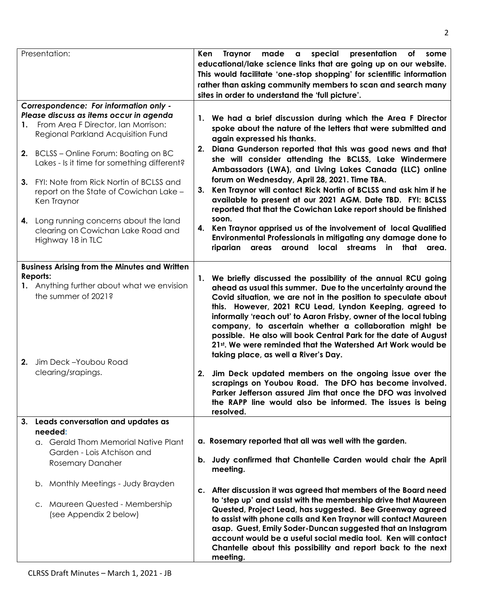|    | Presentation:                                                                                       | Ken<br>special presentation<br>Traynor<br>made a<br>of<br>some<br>educational/lake science links that are going up on our website.<br>This would facilitate 'one-stop shopping' for scientific information<br>rather than asking community members to scan and search many<br>sites in order to understand the 'full picture'. |                                                                                                                                                                                                                                                                                                                                                                                                                                                                                                                                                                     |
|----|-----------------------------------------------------------------------------------------------------|--------------------------------------------------------------------------------------------------------------------------------------------------------------------------------------------------------------------------------------------------------------------------------------------------------------------------------|---------------------------------------------------------------------------------------------------------------------------------------------------------------------------------------------------------------------------------------------------------------------------------------------------------------------------------------------------------------------------------------------------------------------------------------------------------------------------------------------------------------------------------------------------------------------|
|    | Correspondence: For information only -                                                              |                                                                                                                                                                                                                                                                                                                                |                                                                                                                                                                                                                                                                                                                                                                                                                                                                                                                                                                     |
|    | Please discuss as items occur in agenda                                                             |                                                                                                                                                                                                                                                                                                                                | 1. We had a brief discussion during which the Area F Director                                                                                                                                                                                                                                                                                                                                                                                                                                                                                                       |
|    | 1. From Area F Director, Ian Morrison:<br>Regional Parkland Acquisition Fund                        |                                                                                                                                                                                                                                                                                                                                | spoke about the nature of the letters that were submitted and<br>again expressed his thanks.                                                                                                                                                                                                                                                                                                                                                                                                                                                                        |
|    | 2. BCLSS - Online Forum: Boating on BC<br>Lakes - Is it time for something different?               | 2.                                                                                                                                                                                                                                                                                                                             | Diana Gunderson reported that this was good news and that<br>she will consider attending the BCLSS, Lake Windermere<br>Ambassadors (LWA), and Living Lakes Canada (LLC) online                                                                                                                                                                                                                                                                                                                                                                                      |
|    | 3. FYI: Note from Rick Nortin of BCLSS and<br>report on the State of Cowichan Lake -<br>Ken Traynor | 3.                                                                                                                                                                                                                                                                                                                             | forum on Wednesday, April 28, 2021. Time TBA.<br>Ken Traynor will contact Rick Nortin of BCLSS and ask him if he<br>available to present at our 2021 AGM. Date TBD. FYI: BCLSS<br>reported that that the Cowichan Lake report should be finished                                                                                                                                                                                                                                                                                                                    |
|    | 4. Long running concerns about the land<br>clearing on Cowichan Lake Road and<br>Highway 18 in TLC  |                                                                                                                                                                                                                                                                                                                                | soon.<br>4. Ken Traynor apprised us of the involvement of local Qualified<br>Environmental Professionals in mitigating any damage done to<br>riparian<br>around local streams<br>in<br>that<br>areas<br>area.                                                                                                                                                                                                                                                                                                                                                       |
|    | <b>Business Arising from the Minutes and Written</b>                                                |                                                                                                                                                                                                                                                                                                                                |                                                                                                                                                                                                                                                                                                                                                                                                                                                                                                                                                                     |
|    | Reports:<br>1. Anything further about what we envision<br>the summer of 2021?                       | 1.                                                                                                                                                                                                                                                                                                                             | We briefly discussed the possibility of the annual RCU going<br>ahead as usual this summer. Due to the uncertainty around the<br>Covid situation, we are not in the position to speculate about<br>this. However, 2021 RCU Lead, Lyndon Keeping, agreed to<br>informally 'reach out' to Aaron Frisby, owner of the local tubing<br>company, to ascertain whether a collaboration might be<br>possible. He also will book Central Park for the date of August<br>21st. We were reminded that the Watershed Art Work would be<br>taking place, as well a River's Day. |
|    | 2. Jim Deck-Youbou Road<br>clearing/srapings.                                                       | 2.                                                                                                                                                                                                                                                                                                                             | Jim Deck updated members on the ongoing issue over the<br>scrapings on Youbou Road. The DFO has become involved.<br>Parker Jefferson assured Jim that once the DFO was involved<br>the RAPP line would also be informed. The issues is being<br>resolved.                                                                                                                                                                                                                                                                                                           |
| 3. | Leads conversation and updates as                                                                   |                                                                                                                                                                                                                                                                                                                                |                                                                                                                                                                                                                                                                                                                                                                                                                                                                                                                                                                     |
|    | needed:                                                                                             |                                                                                                                                                                                                                                                                                                                                |                                                                                                                                                                                                                                                                                                                                                                                                                                                                                                                                                                     |
|    | a. Gerald Thom Memorial Native Plant                                                                |                                                                                                                                                                                                                                                                                                                                | a. Rosemary reported that all was well with the garden.                                                                                                                                                                                                                                                                                                                                                                                                                                                                                                             |
|    | Garden - Lois Atchison and<br><b>Rosemary Danaher</b>                                               |                                                                                                                                                                                                                                                                                                                                | b. Judy confirmed that Chantelle Carden would chair the April<br>meeting.                                                                                                                                                                                                                                                                                                                                                                                                                                                                                           |
|    | b. Monthly Meetings - Judy Brayden                                                                  |                                                                                                                                                                                                                                                                                                                                | c. After discussion it was agreed that members of the Board need<br>to 'step up' and assist with the membership drive that Maureen                                                                                                                                                                                                                                                                                                                                                                                                                                  |
|    | c. Maureen Quested - Membership<br>(see Appendix 2 below)                                           |                                                                                                                                                                                                                                                                                                                                | Quested, Project Lead, has suggested. Bee Greenway agreed<br>to assist with phone calls and Ken Traynor will contact Maureen<br>asap. Guest, Emily Soder-Duncan suggested that an Instagram<br>account would be a useful social media tool. Ken will contact<br>Chantelle about this possibility and report back to the next<br>meeting.                                                                                                                                                                                                                            |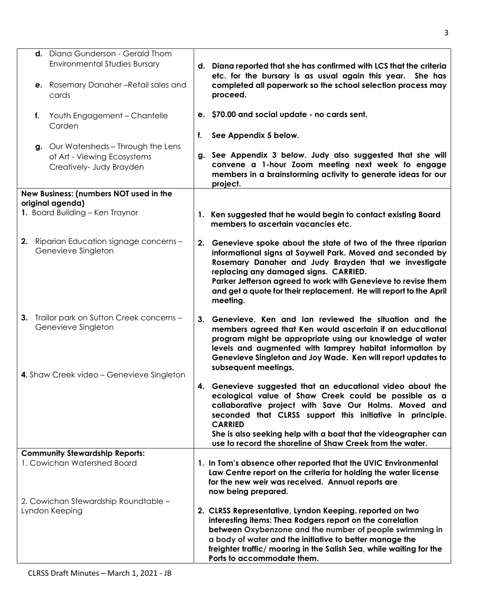| d. Diana Gunderson - Gerald Thom                                                                |    |                                                                                                                                                                                                                                                                                                                                                                                 |
|-------------------------------------------------------------------------------------------------|----|---------------------------------------------------------------------------------------------------------------------------------------------------------------------------------------------------------------------------------------------------------------------------------------------------------------------------------------------------------------------------------|
| <b>Environmental Studies Bursary</b>                                                            |    | d. Diana reported that she has confirmed with LCS that the criteria<br>etc. for the bursary is as usual again this year.<br>She has                                                                                                                                                                                                                                             |
| e. Rosemary Danaher-Retail sales and<br>cards                                                   |    | completed all paperwork so the school selection process may<br>proceed.                                                                                                                                                                                                                                                                                                         |
| f. Youth Engagement - Chantelle<br>Carden                                                       |    | e. \$70.00 and social update - no cards sent.                                                                                                                                                                                                                                                                                                                                   |
|                                                                                                 | f. | See Appendix 5 below.                                                                                                                                                                                                                                                                                                                                                           |
| g. Our Watersheds - Through the Lens<br>of Art - Viewing Ecosystems<br>Creatively- Judy Brayden | g. | See Appendix 3 below. Judy also suggested that she will<br>convene a 1-hour Zoom meeting next week to engage<br>members in a brainstorming activity to generate ideas for our<br>project.                                                                                                                                                                                       |
| New Business: (numbers NOT used in the<br>original agenda)                                      |    |                                                                                                                                                                                                                                                                                                                                                                                 |
| 1. Board Building - Ken Traynor                                                                 |    | 1. Ken suggested that he would begin to contact existing Board<br>members to ascertain vacancies etc.                                                                                                                                                                                                                                                                           |
| 2. Riparian Education signage concerns -<br>Genevieve Singleton                                 | 2. | Genevieve spoke about the state of two of the three riparian<br>informational signs at Saywell Park. Moved and seconded by<br>Rosemary Danaher and Judy Brayden that we investigate<br>replacing any damaged signs. CARRIED.<br>Parker Jefferson agreed to work with Genevieve to revise them<br>and get a quote for their replacement. He will report to the April<br>meeting. |
| 3. Trailor park on Sutton Creek concerns -<br>Genevieve Singleton                               |    | 3. Genevieve, Ken and lan reviewed the situation and the<br>members agreed that Ken would ascertain if an educational<br>program might be appropriate using our knowledge of water<br>levels and augmented with lamprey habitat information by<br>Genevieve Singleton and Joy Wade. Ken will report updates to<br>subsequent meetings.                                          |
| 4. Shaw Creek video - Genevieve Singleton                                                       |    | 4. Genevieve suggested that an educational video about the<br>ecological value of Shaw Creek could be possible as a                                                                                                                                                                                                                                                             |
|                                                                                                 |    | collaborative project with Save Our Holms. Moved and<br>seconded that CLRSS support this initiative in principle.<br><b>CARRIED</b><br>She is also seeking help with a boat that the videographer can<br>use to record the shoreline of Shaw Creek from the water.                                                                                                              |
| <b>Community Stewardship Reports:</b>                                                           |    |                                                                                                                                                                                                                                                                                                                                                                                 |
| 1. Cowichan Watershed Board                                                                     |    | 1. In Tom's absence other reported that the UVIC Environmental<br>Law Centre report on the criteria for holding the water license<br>for the new weir was received. Annual reports are<br>now being prepared.                                                                                                                                                                   |
| 2. Cowichan Stewardship Roundtable -<br>Lyndon Keeping                                          |    | 2. CLRSS Representative, Lyndon Keeping. reported on two<br>interesting items: Thea Rodgers report on the correlation<br>between Oxybenzone and the number of people swimming in<br>a body of water and the initiative to better manage the<br>freighter traffic/ mooring in the Salish Sea, while waiting for the<br>Ports to accommodate them.                                |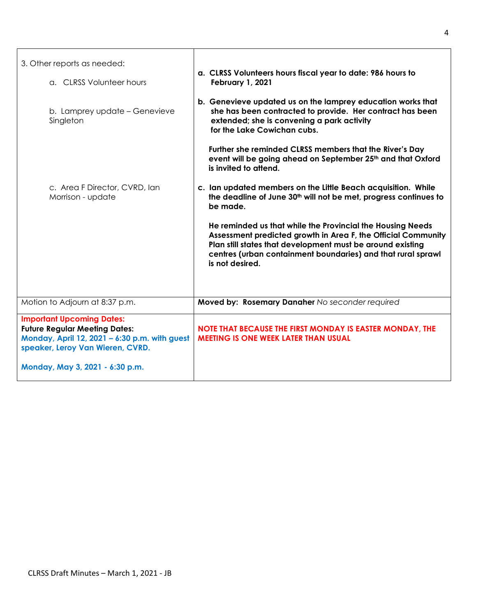| 3. Other reports as needed:                                                                                                                                                                      |                                                                                                                                                                                                                                                                              |
|--------------------------------------------------------------------------------------------------------------------------------------------------------------------------------------------------|------------------------------------------------------------------------------------------------------------------------------------------------------------------------------------------------------------------------------------------------------------------------------|
| a. CLRSS Volunteer hours                                                                                                                                                                         | a. CLRSS Volunteers hours fiscal year to date: 986 hours to<br>February 1, 2021                                                                                                                                                                                              |
| b. Lamprey update - Genevieve<br>Singleton                                                                                                                                                       | b. Genevieve updated us on the lamprey education works that<br>she has been contracted to provide. Her contract has been<br>extended; she is convening a park activity<br>for the Lake Cowichan cubs.                                                                        |
|                                                                                                                                                                                                  | Further she reminded CLRSS members that the River's Day<br>event will be going ahead on September 25th and that Oxford<br>is invited to attend.                                                                                                                              |
| c. Area F Director, CVRD, Ian<br>Morrison - update                                                                                                                                               | c. Ian updated members on the Little Beach acquisition. While<br>the deadline of June 30 <sup>th</sup> will not be met, progress continues to<br>be made.                                                                                                                    |
|                                                                                                                                                                                                  | He reminded us that while the Provincial the Housing Needs<br>Assessment predicted growth in Area F, the Official Community<br>Plan still states that development must be around existing<br>centres (urban containment boundaries) and that rural sprawl<br>is not desired. |
| Motion to Adjourn at 8:37 p.m.                                                                                                                                                                   | Moved by: Rosemary Danaher No seconder required                                                                                                                                                                                                                              |
| <b>Important Upcoming Dates:</b><br><b>Future Regular Meeting Dates:</b><br>Monday, April 12, 2021 - 6:30 p.m. with guest<br>speaker, Leroy Van Wieren, CVRD.<br>Monday, May 3, 2021 - 6:30 p.m. | NOTE THAT BECAUSE THE FIRST MONDAY IS EASTER MONDAY, THE<br><b>MEETING IS ONE WEEK LATER THAN USUAL</b>                                                                                                                                                                      |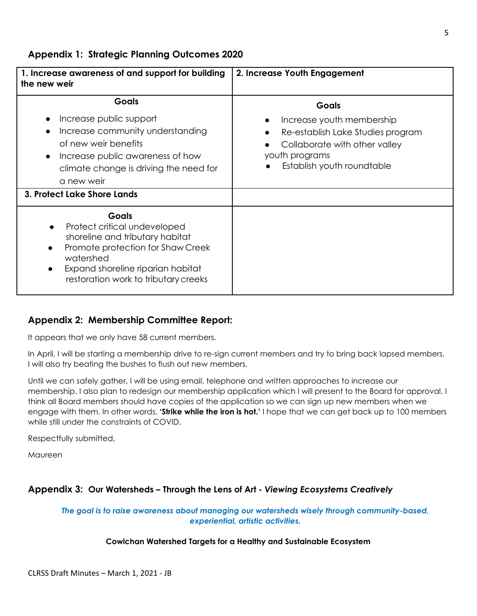**Appendix 1: Strategic Planning Outcomes 2020**

| 1. Increase awareness of and support for building<br>the new weir                                                                                                                                                                 | 2. Increase Youth Engagement                                                                                                                                    |
|-----------------------------------------------------------------------------------------------------------------------------------------------------------------------------------------------------------------------------------|-----------------------------------------------------------------------------------------------------------------------------------------------------------------|
| <b>Goals</b><br>Increase public support<br>Increase community understanding<br>of new weir benefits<br>Increase public awareness of how<br>climate change is driving the need for<br>a new weir<br>3. Protect Lake Shore Lands    | <b>Goals</b><br>Increase youth membership<br>Re-establish Lake Studies program<br>Collaborate with other valley<br>youth programs<br>Establish youth roundtable |
| Goals<br>Protect critical undeveloped<br>shoreline and tributary habitat<br>Promote protection for Shaw Creek<br>$\bullet$<br>watershed<br>Expand shoreline riparian habitat<br>$\bullet$<br>restoration work to tributary creeks |                                                                                                                                                                 |

## **Appendix 2: Membership Committee Report:**

It appears that we only have 58 current members.

In April, I will be starting a membership drive to re-sign current members and try to bring back lapsed members. I will also try beating the bushes to flush out new members.

Until we can safely gather, I will be using email, telephone and written approaches to increase our membership. I also plan to redesign our membership application which I will present to the Board for approval. I think all Board members should have copies of the application so we can sign up new members when we engage with them. In other words, **'Strike while the iron is hot.'** I hope that we can get back up to 100 members while still under the constraints of COVID.

Respectfully submitted,

**Maureen** 

## **Appendix 3: Our Watersheds – Through the Lens of Art -** *Viewing Ecosystems Creatively*

*The goal is to raise awareness about managing our watersheds wisely through community-based, experiential, artistic activities.*

### **Cowichan Watershed Targets for a Healthy and Sustainable Ecosystem**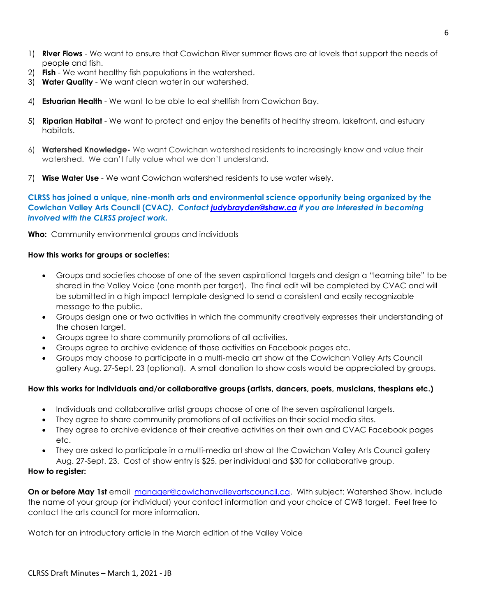- 1) **River Flows**  We want to ensure that Cowichan River summer flows are at levels that support the needs of people and fish.
- 2) **Fish**  We want healthy fish populations in the watershed.
- 3) **Water Quality**  We want clean water in our watershed.
- 4) **Estuarian Health**  We want to be able to eat shellfish from Cowichan Bay.
- 5) **Riparian Habitat**  We want to protect and enjoy the benefits of healthy stream, lakefront, and estuary habitats.
- 6) **Watershed Knowledge-** We want Cowichan watershed residents to increasingly know and value their watershed. We can't fully value what we don't understand.
- 7) **Wise Water Use**  We want Cowichan watershed residents to use water wisely.

**CLRSS has joined a unique, nine-month arts and environmental science opportunity being organized by the Cowichan Valley Arts Council (CVAC***). Contact [judybrayden@shaw.ca](mailto:judybrayden@shaw.ca) if you are interested in becoming involved with the CLRSS project work.*

**Who:** Community environmental groups and individuals

#### **How this works for groups or societies:**

- Groups and societies choose of one of the seven aspirational targets and design a "learning bite" to be shared in the Valley Voice (one month per target). The final edit will be completed by CVAC and will be submitted in a high impact template designed to send a consistent and easily recognizable message to the public.
- Groups design one or two activities in which the community creatively expresses their understanding of the chosen target.
- Groups agree to share community promotions of all activities.
- Groups agree to archive evidence of those activities on Facebook pages etc.
- Groups may choose to participate in a multi-media art show at the Cowichan Valley Arts Council gallery Aug. 27-Sept. 23 (optional). A small donation to show costs would be appreciated by groups.

#### **How this works for individuals and/or collaborative groups (artists, dancers, poets, musicians, thespians etc.)**

- Individuals and collaborative artist groups choose of one of the seven aspirational targets.
- They agree to share community promotions of all activities on their social media sites.
- They agree to archive evidence of their creative activities on their own and CVAC Facebook pages etc.
- They are asked to participate in a multi-media art show at the Cowichan Valley Arts Council gallery Aug. 27-Sept. 23. Cost of show entry is \$25. per individual and \$30 for collaborative group.

#### **How to register:**

On or before May 1st email [manager@cowichanvalleyartscouncil.ca.](mailto:manager@cowichanvalleyartscouncil.ca) With subject: Watershed Show, include the name of your group (or individual) your contact information and your choice of CWB target.Feel free to contact the arts council for more information.

Watch for an introductory article in the March edition of the Valley Voice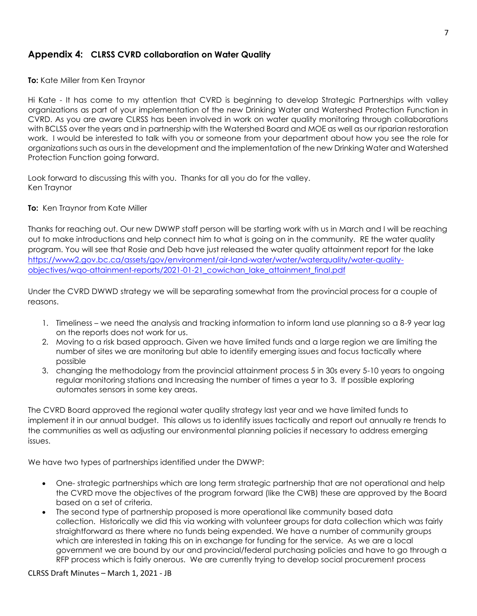## **Appendix 4: CLRSS CVRD collaboration on Water Quality**

**To:** Kate Miller from Ken Traynor

Hi Kate - It has come to my attention that CVRD is beginning to develop Strategic Partnerships with valley organizations as part of your implementation of the new Drinking Water and Watershed Protection Function in CVRD. As you are aware CLRSS has been involved in work on water quality monitoring through collaborations with BCLSS over the years and in partnership with the Watershed Board and MOE as well as our riparian restoration work. I would be interested to talk with you or someone from your department about how you see the role for organizations such as ours in the development and the implementation of the new Drinking Water and Watershed Protection Function going forward.

Look forward to discussing this with you. Thanks for all you do for the valley. Ken Traynor

#### **To:** Ken Traynor from Kate Miller

Thanks for reaching out. Our new DWWP staff person will be starting work with us in March and I will be reaching out to make introductions and help connect him to what is going on in the community. RE the water quality program. You will see that Rosie and Deb have just released the water quality attainment report for the lake https://www2.gov.bc.ca/assets/gov/environment/air-land-water/water/waterguality/water-quality[objectives/wqo-attainment-reports/2021-01-21\\_cowichan\\_lake\\_attainment\\_final.pdf](https://www2.gov.bc.ca/assets/gov/environment/air-land-water/water/waterquality/water-quality-objectives/wqo-attainment-reports/2021-01-21_cowichan_lake_attainment_final.pdf)

Under the CVRD DWWD strategy we will be separating somewhat from the provincial process for a couple of reasons.

- 1. Timeliness we need the analysis and tracking information to inform land use planning so a 8-9 year lag on the reports does not work for us.
- 2. Moving to a risk based approach. Given we have limited funds and a large region we are limiting the number of sites we are monitoring but able to identify emerging issues and focus tactically where possible
- 3. changing the methodology from the provincial attainment process 5 in 30s every 5-10 years to ongoing regular monitoring stations and Increasing the number of times a year to 3. If possible exploring automates sensors in some key areas.

The CVRD Board approved the regional water quality strategy last year and we have limited funds to implement it in our annual budget. This allows us to identify issues tactically and report out annually re trends to the communities as well as adjusting our environmental planning policies if necessary to address emerging issues.

We have two types of partnerships identified under the DWWP:

- One- strategic partnerships which are long term strategic partnership that are not operational and help the CVRD move the objectives of the program forward (like the CWB) these are approved by the Board based on a set of criteria.
- The second type of partnership proposed is more operational like community based data collection. Historically we did this via working with volunteer groups for data collection which was fairly straightforward as there where no funds being expended. We have a number of community groups which are interested in taking this on in exchange for funding for the service. As we are a local government we are bound by our and provincial/federal purchasing policies and have to go through a RFP process which is fairly onerous. We are currently trying to develop social procurement process